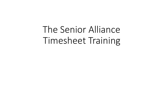The Senior Alliance Timesheet Training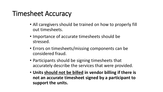#### Timesheet Accuracy

- All caregivers should be trained on how to properly fill out timesheets.
- Importance of accurate timesheets should be stressed.
- Errors on timesheets/missing components can be considered fraud.
- Participants should be signing timesheets that accurately describe the services that were provided.
- **Units should not be billed in vendor billing if there is not an accurate timesheet signed by a participant to support the units.**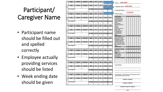#### Participant/ Caregiver Name

- Participant name should be filled out and spelled correctly
- Employee actually providing services should be listed
- Week ending date should be given

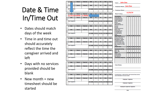## Date & Time In/Time Out

- Dates should match days of the week
- Time in and time out should accurately reflect the time the caregiver arrived and left
- Days with no services provided should be blank
- New month = new timesheet should be started
- Time in **TIme Out PDN John Doe CLS** Time in Time Out **HMK PC**  $RC$ **PDN** *Employee Name:* Jane Doe Cilen<sup>1</sup> sture<sup>-</sup> TOT HMK TOT PC TOT RC TOT PDN TOT CLS 2. Employee Name: **11/23/19Week Ending: 11/19/19 9:00AM 11:00AM** Homemaking **SU MO TU WE THEF Date** Time in **Time Out HMK**  $PC$  $RC$ **PDN CLS** Clean Bathroom Change/Make Bed Clean Living Room **Client Slanature:** TOT HMK TOT PC TOT RC TOT PDN TOT CLS Clean Appliances **Dishes** Clean Kitchen Meal Prep/Clean Up Time Out Laundry Dusting Sweep/mop/vacuum **Empty Trash** Date **PDN** Ime Out Shopping Errands Ironing/Mending Client Signature: TOT HMK | TOT PC | TOT RC | TOT PDN | TOT CLS Correspondence **Ther** ersonal Care Dietary Meals/Clean Ut Time Out Dressina Groomina Date Time in **PDN CLS** Bathing/Pers. Hygiene alleting/Continence **Date** Time Out  $RC$ **PDN Mobility/Transfer Asst. Time in HMK** DC. CLS: Asst. Self Admin. Meds Med. Related HC Tasks **Client Slanature:** TOT HMK TOT PC TOT RC TOT PDN TOT CLS Other **Respite Hours** SU MO TU WE TH FF Private Duty Nursi **SU MO TU WE TH PDN-RN Time in** Time Out  $RC$ **PDN CLS PDN-LPN Chore Time Out PDN** Grass Cutting Date **Time in** PC  $RC$ **CLS** Snow Removal Fall Clean-Up Cilent Signature: TOT HMK | TOT PC | TOT RC | TOT PDN | TOT CLS community Living Sup. **SU MO TU WE THEF** Date **Time Out CLS PDN Client Notes: Date** Time in Time Out **PC RC PDN CLS Client Signature:** TOT HMK | TOT PC | TOT RC | TOT PDN | TOT CLS **CLS** By claning below, I certify that this client received these Date and all information is true and correct Date **Time In Time Out**  $PC$  $RC$ **PDN CLS HMK** Employee 1 Signature **Client Slanature:** TOT HMK | TOT PC | TOT RC | TOT PDN | TOT CLS Employee 2 Signature Employee's Supervisor Signature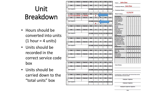# Unit Breakdown

- Hours should be converted into units  $(1 hour = 4 units)$
- Units should be recorded in the correct service code box
- Units should be carried down to the "total units" box

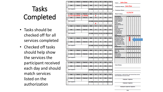## Tasks Completed

- Tasks should be checked off for all services completed
- Checked off tasks should help show the services the participant received each day and should match services listed on the authorization

|        | Date                         | Time in        | <b>Time Out</b> | <b>HMK</b>     | <b>PC</b>     | <b>RC</b>     | <b>PDN</b>                          | <b>CLS</b>             |                                                                                                                  |          |   |  |  |                          |                             |           |
|--------|------------------------------|----------------|-----------------|----------------|---------------|---------------|-------------------------------------|------------------------|------------------------------------------------------------------------------------------------------------------|----------|---|--|--|--------------------------|-----------------------------|-----------|
|        |                              |                |                 |                |               |               |                                     |                        | <b>John Doe</b><br><b>Client:</b>                                                                                |          |   |  |  |                          |                             |           |
| s      | Date                         | <b>Time In</b> | <b>TIme Out</b> | <b>HMK</b>     | <b>PC</b>     | RC            | <b>PDN</b>                          | <b>CLS</b>             |                                                                                                                  |          |   |  |  |                          |                             |           |
| U<br>N |                              |                |                 |                |               |               |                                     |                        | 1. Employee Name: Jane Doe                                                                                       |          |   |  |  |                          |                             |           |
|        | <b>Client Signature:</b>     |                |                 | <b>TOT HMK</b> |               |               | TOT PC   TOT RC   TOT PDN   TOT CLS |                        |                                                                                                                  |          |   |  |  |                          |                             |           |
|        |                              |                |                 |                |               |               |                                     |                        | 2. Employee Name:                                                                                                |          |   |  |  |                          |                             |           |
|        |                              |                |                 |                |               |               |                                     |                        |                                                                                                                  | 11/23/19 |   |  |  |                          |                             |           |
|        | Date                         | <b>HMK</b>     | <b>PC</b>       | <b>RC</b>      | <b>PDN</b>    | <b>CLS</b>    | <b>Week Ending:</b>                 |                        |                                                                                                                  |          |   |  |  |                          |                             |           |
|        | 11/19/1<br>9:00AM<br>11:00AM |                |                 |                | 8             |               |                                     |                        |                                                                                                                  |          |   |  |  |                          |                             |           |
| М      | Date                         | <b>Time In</b> | <b>Time Out</b> | <b>HMK</b>     | PC            | <b>RC</b>     | <b>PDN</b>                          | <b>CLS</b>             | Homemaking<br>Clean Bathroom                                                                                     |          |   |  |  |                          | SU MO TU WE TH FR SA        |           |
| o      |                              |                |                 |                |               |               |                                     |                        | Change/Make Bed                                                                                                  |          |   |  |  |                          |                             |           |
| N      | Client Signature:            |                |                 | <b>TOT HMK</b> | <b>TOT PC</b> | <b>TOT RC</b> |                                     | <b>TOT PDN</b> TOT CLS | Clean Living Room<br>Clean Appliances                                                                            |          |   |  |  |                          |                             |           |
|        |                              |                |                 |                |               |               |                                     |                        | <b>Dishes</b>                                                                                                    |          |   |  |  |                          |                             |           |
|        |                              |                |                 |                | ጸ             |               |                                     |                        | Clean Kitchen<br><b>Meal Prep/Clean Up</b>                                                                       |          |   |  |  |                          |                             |           |
|        | Date                         | Time in        | Time Out        | <b>HMK</b>     | PC            | <b>RC</b>     | <b>PDN</b>                          | <b>CLS</b>             | Laundry                                                                                                          |          |   |  |  |                          |                             |           |
|        |                              |                |                 |                |               |               |                                     |                        | Dusting                                                                                                          |          |   |  |  |                          |                             |           |
| т      | Date                         | Time in        | <b>Time Out</b> | <b>HMK</b>     | PC            | <b>RC</b>     | <b>PDN</b>                          | <b>CLS</b>             | Sweep/mop/vacuum<br><b>Empty Trash</b>                                                                           |          |   |  |  |                          |                             |           |
| U<br>Ε |                              |                |                 |                |               |               |                                     |                        | <b>Shopping Errands</b>                                                                                          |          |   |  |  |                          |                             |           |
| s      | <b>Client Signature:</b>     |                |                 | <b>TOT HMK</b> | <b>TOT PC</b> | <b>TOT RC</b> | <b>TOT PDN</b>                      | <b>TOT CLS</b>         | Ironing/Mending<br>Correspondence                                                                                |          |   |  |  |                          |                             |           |
|        |                              |                |                 |                |               |               |                                     |                        | Other                                                                                                            |          |   |  |  |                          |                             |           |
|        |                              |                |                 |                |               |               |                                     |                        | <b>Personal Care</b>                                                                                             |          |   |  |  |                          | <b>SU MO TU WE TH FR SA</b> |           |
|        | Date                         | Time in        | <b>Time Out</b> | <b>HMK</b>     | PC            | <b>RC</b>     | <b>PDN</b>                          | <b>CLS</b>             | Dietary Meals/Clean Up<br><b>Dressing Grooming</b>                                                               |          | 盤 |  |  |                          |                             |           |
|        |                              |                |                 |                |               |               |                                     |                        | Bathing/Pers. Hyglene                                                                                            |          |   |  |  |                          |                             |           |
| W      | <b>Date</b>                  | <b>Time In</b> | <b>TIme Out</b> | <b>HMK</b>     | <b>PC</b>     | RC            | <b>PDN</b>                          | CLS                    | Tolleting/Continence<br><b>Mobility/Transfer Asst.</b>                                                           |          |   |  |  |                          |                             |           |
| E      |                              |                |                 |                |               |               |                                     |                        | Asst. Self Admin. Meds                                                                                           |          |   |  |  |                          |                             |           |
| D      |                              |                |                 |                |               |               |                                     |                        | Med. Related HC Tasks                                                                                            |          |   |  |  |                          |                             |           |
|        |                              |                |                 |                |               |               |                                     |                        |                                                                                                                  |          |   |  |  |                          |                             |           |
|        | <b>Client Signature:</b>     |                |                 | <b>TOT HMK</b> | <b>TOT PC</b> | <b>TOT RC</b> | <b>TOT PDN</b> TOT CLS              |                        | Other                                                                                                            |          |   |  |  |                          |                             |           |
|        |                              |                |                 |                |               |               |                                     |                        | <b>Respite Hours</b>                                                                                             |          |   |  |  |                          | SU MO TU WE TH FR SA        |           |
|        |                              |                |                 |                |               |               |                                     |                        | <b>Private Duty Nursing</b>                                                                                      |          |   |  |  | <b>SU MO TU WE TH FR</b> |                             |           |
|        | Date                         | <b>Time in</b> | <b>Time Out</b> | <b>HMK</b>     | <b>PC</b>     | <b>RC</b>     | <b>PDN</b>                          | <b>CLS</b>             | <b>PDN - RN</b><br><b>PDN-LPN</b>                                                                                |          |   |  |  |                          |                             | <b>SA</b> |
| т      |                              |                |                 |                |               |               |                                     |                        | Chore                                                                                                            |          |   |  |  |                          | SU MO TU WE TH FR SA        |           |
| н      | Date                         | <b>Time In</b> | <b>Time Out</b> | <b>HMK</b>     | PC            | <b>RC</b>     | <b>PDN</b>                          | <b>CLS</b>             | Grass Cutting<br><b>Snow Removal</b>                                                                             |          |   |  |  |                          |                             |           |
| Ù<br>R |                              |                |                 |                |               |               |                                     |                        | Fall Clean-Up                                                                                                    |          |   |  |  |                          |                             |           |
|        | <b>Client Signature:</b>     |                |                 | <b>TOT HMK</b> | <b>TOT PC</b> | <b>TOT RC</b> | <b>TOT PDN</b> TOT CLS              |                        | <b>Community Living Sup.</b>                                                                                     |          |   |  |  |                          | SU MO TU WE TH FR SA        |           |
|        |                              |                |                 |                |               |               |                                     |                        |                                                                                                                  |          |   |  |  |                          |                             |           |
|        |                              |                |                 |                |               |               |                                     |                        |                                                                                                                  |          |   |  |  |                          |                             |           |
|        | Date                         | Time in        | Time Out        | <b>HMK</b>     | PC            | <b>RC</b>     | <b>PDN</b>                          | <b>CLS</b>             |                                                                                                                  |          |   |  |  |                          |                             |           |
|        |                              |                |                 |                |               |               |                                     |                        | <b>Client Notes:</b>                                                                                             |          |   |  |  |                          |                             |           |
| F<br>R | Date                         | Time in        | <b>Time Out</b> | <b>HMK</b>     | PC            | RC            | <b>PDN</b>                          | <b>CLS</b>             |                                                                                                                  |          |   |  |  |                          |                             |           |
| г      |                              |                |                 |                |               |               |                                     |                        |                                                                                                                  |          |   |  |  |                          |                             |           |
|        | <b>Client Signature:</b>     |                |                 | <b>TOT HMK</b> | <b>TOT PC</b> | <b>TOT RC</b> |                                     | <b>TOT PDN</b> TOT CLS |                                                                                                                  |          |   |  |  |                          |                             |           |
|        |                              |                |                 |                |               |               |                                     |                        |                                                                                                                  |          |   |  |  |                          |                             |           |
|        |                              |                |                 |                |               |               |                                     |                        |                                                                                                                  |          |   |  |  |                          |                             |           |
|        | Date                         | Time in        | Time Out        | <b>HIMK</b>    | <b>PC</b>     | <b>RC</b>     | <b>PDN</b>                          | <b>CLS</b>             | By cigning below, I certify that this cilent received these services<br>and all information is true and correct. |          |   |  |  |                          |                             |           |
|        |                              |                |                 |                |               |               |                                     |                        |                                                                                                                  |          |   |  |  |                          |                             |           |
| s<br>Α | Date                         | <b>Time In</b> | <b>TIme Out</b> | <b>HMK</b>     | PC            | <b>RC</b>     | <b>PDN</b>                          | <b>CLS</b>             | Employee 1 Signature                                                                                             |          |   |  |  |                          |                             |           |
| т      |                              |                |                 |                |               |               |                                     |                        |                                                                                                                  |          |   |  |  |                          |                             |           |
|        | Client Signature:            |                |                 | <b>TOT HMK</b> | <b>TOT PC</b> | TOT RC        | <b>TOT PDN</b> TOT CLS              |                        | Employee 2 Signature                                                                                             |          |   |  |  |                          |                             |           |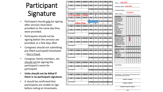#### Participant Signature

- Participant should only be signing after services have been provided on the same day they were provided.
- Participants should not be signing before the services are provided, or a few days after.
- Caregivers should not submitting pre -filled out/copied timesheets – this is fraud.
- Caregiver, family members, etc. should not be signing the participant's name for participant.
- **Units should not be billed if there is no participant signature.**
- It should be confirmed that participants are unable to sign before noting on timesheets.



Date